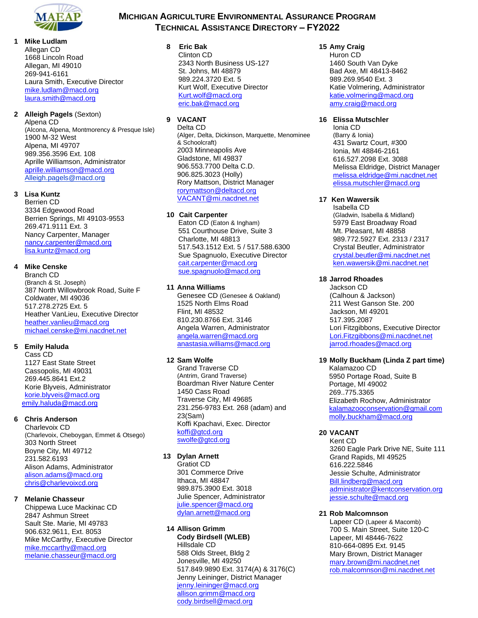

**1 Mike Ludlam** Allegan CD 1668 Lincoln Road Allegan, MI 49010 269-941-6161 Laura Smith, Executive Director [mike.ludlam@macd.org](mailto:mike.ludlam@macd.org) [laura.smith@macd.org](mailto:laura.smith@macd.org)

# **2 Alleigh Pagels** (Sexton)

Alpena CD (Alcona, Alpena, Montmorency & Presque Isle) 1900 M-32 West Alpena, MI 49707 989.356.3596 Ext. 108 Aprille Williamson, Administrator [aprille.williamson@macd.org](mailto:aprille.williamson@macd.org)  Alleigh.pagels@macd.org

## **3 Lisa Kuntz**

Berrien CD 3334 Edgewood Road Berrien Springs, MI 49103-9553 269.471.9111 Ext. 3 Nancy Carpenter, Manager [nancy.carpenter@macd.org](mailto:nancy.carpenter@macd.org) [lisa.kuntz@macd.org](mailto:lisa.kuntz@macd.org)

# **4 Mike Censke**

Branch CD (Branch & St. Joseph) 387 North Willowbrook Road, Suite F Coldwater, MI 49036 517.278.2725 Ext. 5 Heather VanLieu, Executive Director [heather.vanlieu@macd.org](mailto:heather.vanlieu@macd.org) [michael.censke@mi.nacdnet.net](mailto:michael.censke@mi.nacdnet.net)

# **5 Emily Haluda**

Cass CD 1127 East State Street Cassopolis, MI 49031 269.445.8641 Ext.2 Korie Blyveis, Administrator [korie.blyveis@macd.org](mailto:korie.blyveis@macd.org)  [emily.haluda@macd.org](mailto:emily.haluda@macd.org)

# **6 Chris Anderson**

Charlevoix CD (Charlevoix, Cheboygan, Emmet & Otsego) 303 North Street Boyne City, MI 49712 231.582.6193 Alison Adams, Administrator [alison.adams@macd.org](mailto:alison.adams@macd.org) [chris@charlevoixcd.org](mailto:chris@charlevoixcd.org)

## **7 Melanie Chasseur**

Chippewa Luce Mackinac CD 2847 Ashmun Street Sault Ste. Marie, MI 49783 906.632.9611, Ext. 8053 Mike McCarthy, Executive Director [mike.mccarthy@macd.org](mailto:mike.mccarthy@macd.org) [melanie.chasseur@macd.org](mailto:melanie.chasseur@macd.org)

# **MICHIGAN AGRICULTURE ENVIRONMENTAL ASSURANCE PROGRAM TECHNICAL ASSISTANCE DIRECTORY – FY2022**

**8 Eric Bak** Clinton CD 2343 North Business US-127 St. Johns, MI 48879 St. Johns, MI 48879<br>989.224.3720 Ext. 5 Kurt Wolf, Executive Director [Kurt.wolf@macd.org](mailto:Kurt.wolf@macd.org) [eric.bak@macd.org](mailto:Lindsey.martin@mi.nacdnet.net)

# **9 VACANT**

Delta CD (Alger, Delta, Dickinson, Marquette, Menominee & Schoolcraft) 2003 Minneapolis Ave Gladstone, MI 49837 906.553.7700 Delta C.D. 906.825.3023 (Holly) Rory Mattson, District Manager [rorymattson@deltacd.org](mailto:rorymattson@deltacd.org) [VACANT@mi.nacdnet.net](mailto:VACANT@mi.nacdnet.net)

#### **10 Cait Carpenter**

 Eaton CD (Eaton & Ingham) 551 Courthouse Drive, Suite 3 Charlotte, MI 48813 517.543.1512 Ext. 5 / 517.588.6300 Sue Spagnuolo, Executive Director [cait.carpenter@macd.org](mailto:cait.carpenter@macd.org) [sue.spagnuolo@macd.org](mailto:sue.spagnuolo@macd.org)

# **11 Anna Williams**

Genesee CD (Genesee & Oakland) 1525 North Elms Road Flint, MI 48532 810.230.8766 Ext. 3146 Angela Warren, Administrator [angela.warren@macd.org](mailto:angela.warren@macd.org) [anastasia.williams@macd.org](mailto:anastasia.williams@macd.org)

### **12 Sam Wolfe**

Grand Traverse CD (Antrim, Grand Traverse) Boardman River Nature Center 1450 Cass Road Traverse City, MI 49685 231.256-9783 Ext. 268 (adam) and 23(Sam) Koffi Kpachavi, Exec. Director [koffi@gtcd.org](mailto:koffi@gtcd.org) swolfe@gtcd.org

# **13 Dylan Arnett**

Gratiot CD 301 Commerce Drive Ithaca, MI 48847 989.875.3900 Ext. 3018 Julie Spencer, Administrator [julie.spencer@macd.org](mailto:julie.spencer@macd.org) dylan.arnett@macd.org

#### **14 Allison Grimm**

**Cody Birdsell (WLEB)** Hillsdale CD 588 Olds Street, Bldg 2 Jonesville, MI 49250 517.849.9890 Ext. 3174(A) & 3176(C) Jenny Leininger, District Manager [jenny.leininger@macd.org](mailto:jenny.leininger@macd.org) [allison.grimm@macd.org](mailto:allison.grimm@macd.org) [cody.birdsell@macd.org](mailto:cody.birdsell@macd.org)

#### **15 Amy Craig**

Huron CD 1460 South Van Dyke Bad Axe, MI 48413-8462 989.269.9540 Ext. 3 Katie Volmering, Administrator [katie.volmering@macd.org](mailto:katie.volmering@macd.org) amy.craig@macd.org

## **16 Elissa Mutschler**

Ionia CD (Barry & Ionia) 431 Swartz Court, #300 Ionia, MI 48846-2161 616.527.2098 Ext. 3088 Melissa Eldridge, District Manager [melissa.eldridge@mi.nacdnet.net](mailto:melissa.eldridge@mi.nacdnet.net) [elissa.mutschler@macd.org](mailto:elissa.mutschler@macd.org)

#### **17 Ken Wawersik**

Isabella CD (Gladwin, Isabella & Midland) 5979 East Broadway Road Mt. Pleasant, MI 48858 989.772.5927 Ext. 2313 / 2317 Crystal Beutler, Administrator [crystal.beutler@mi.nacdnet.net](mailto:crystal.beutler@mi.nacdnet.net) [ken.wawersik@mi.nacdnet.net](mailto:ken.wawersik@mi.nacdnet.net)

#### **18 Jarrod Rhoades**

Jackson CD (Calhoun & Jackson) 211 West Ganson Ste. 200 Jackson, MI 49201 517.395.2087 Lori Fitzgibbons, Executive Director [Lori.Fitzgibbons@mi.nacdnet.net](mailto:Lori.Fitzgibbons@mi.nacdnet.net) [jarrod.rhoades@m](mailto:jarrod.rhoades@)acd.org

# **19 Molly Buckham (Linda Z part time)**

Kalamazoo CD 5950 Portage Road, Suite B Portage, MI 49002 269..775.3365 Elizabeth Rochow, Administrator [kalamazooconservation@g](mailto:kalamazooconservation@)mail.com [molly.buckham@macd.org](mailto:molly.buckham@macd.org)

## **20 VACANT**

Kent CD 3260 Eagle Park Drive NE, Suite 111 Grand Rapids, MI 49525 616.222.5846 Jessie Schulte, Administrator [Bill.lindberg@macd.org](mailto:Bill.lindberg@macd.org) [administrator@kentconservation.org](mailto:administrator@kentconservation.org) jessie.schulte@macd.org

#### **21 Rob Malcomnson**

Lapeer CD (Lapeer & Macomb) 700 S. Main Street, Suite 120-C Lapeer, MI 48446-7622 810-664-0895 Ext. 9145 Mary Brown, District Manager [mary.brown@mi.nacdnet.net](mailto:mary.brown@mi.nacdnet.net) [rob.malcomnson@mi.nacdnet.net](mailto:rob.malcomnson@mi.nacdnet.net)